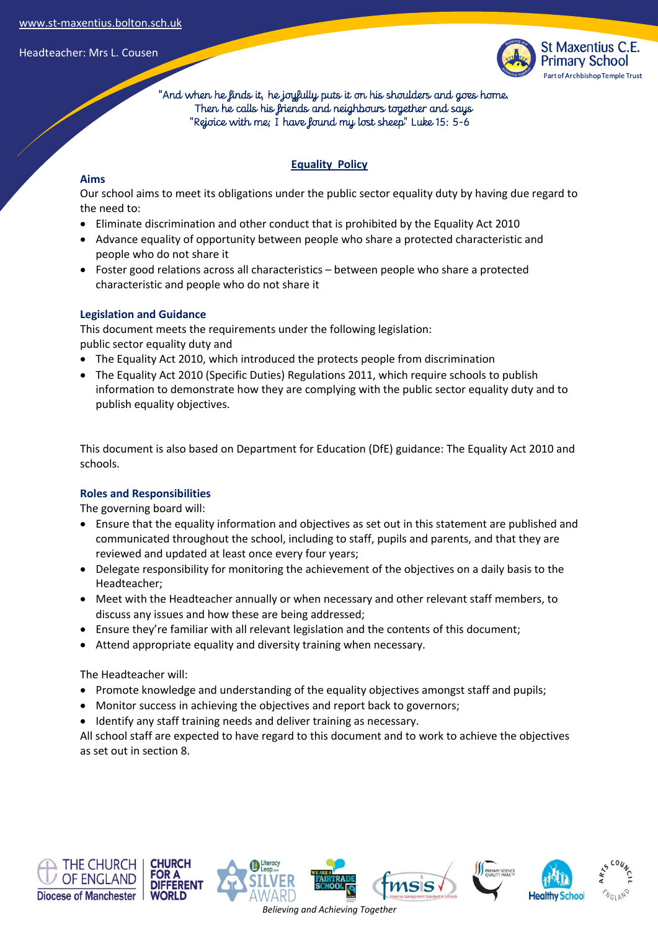

 "And when he finds it, he joyfully puts it on his shoulders and goes home. Then he calls his friends and neighbours together and says "Rejoice with me; I have found my lost sheep" Luke 15: 5-6

## **Equality Policy**

## **Aims**

Our school aims to meet its obligations under the public sector equality duty by having due regard to the need to:

- Eliminate discrimination and other conduct that is prohibited by the Equality Act 2010
- Advance equality of opportunity between people who share a protected characteristic and people who do not share it
- Foster good relations across all characteristics between people who share a protected characteristic and people who do not share it

## **Legislation and Guidance**

This document meets the requirements under the following legislation: public sector equality duty and

- The Equality Act 2010, which introduced the protects people from discrimination
- The Equality Act 2010 (Specific Duties) Regulations 2011, which require schools to publish information to demonstrate how they are complying with the public sector equality duty and to publish equality objectives.

This document is also based on Department for Education (DfE) guidance: The Equality Act 2010 and schools.

### **Roles and Responsibilities**

The governing board will:

- Ensure that the equality information and objectives as set out in this statement are published and communicated throughout the school, including to staff, pupils and parents, and that they are reviewed and updated at least once every four years;
- Delegate responsibility for monitoring the achievement of the objectives on a daily basis to the Headteacher;
- Meet with the Headteacher annually or when necessary and other relevant staff members, to discuss any issues and how these are being addressed;
- Ensure they're familiar with all relevant legislation and the contents of this document;
- Attend appropriate equality and diversity training when necessary.

The Headteacher will:

- Promote knowledge and understanding of the equality objectives amongst staff and pupils;
- Monitor success in achieving the objectives and report back to governors;
- Identify any staff training needs and deliver training as necessary.

All school staff are expected to have regard to this document and to work to achieve the objectives as set out in section 8.











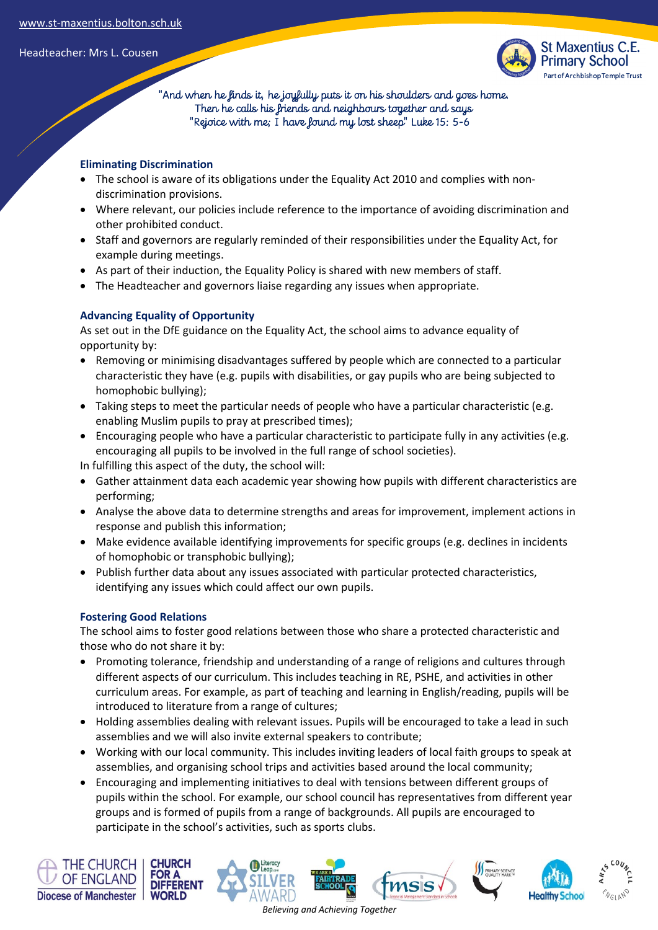

 "And when he finds it, he joyfully puts it on his shoulders and goes home. Then he calls his friends and neighbours together and says "Rejoice with me; I have found my lost sheep" Luke 15: 5-6

## **Eliminating Discrimination**

- The school is aware of its obligations under the Equality Act 2010 and complies with nondiscrimination provisions.
- Where relevant, our policies include reference to the importance of avoiding discrimination and other prohibited conduct.
- Staff and governors are regularly reminded of their responsibilities under the Equality Act, for example during meetings.
- As part of their induction, the Equality Policy is shared with new members of staff.
- The Headteacher and governors liaise regarding any issues when appropriate.

# **Advancing Equality of Opportunity**

As set out in the DfE guidance on the Equality Act, the school aims to advance equality of opportunity by:

- Removing or minimising disadvantages suffered by people which are connected to a particular characteristic they have (e.g. pupils with disabilities, or gay pupils who are being subjected to homophobic bullying);
- Taking steps to meet the particular needs of people who have a particular characteristic (e.g. enabling Muslim pupils to pray at prescribed times);
- Encouraging people who have a particular characteristic to participate fully in any activities (e.g. encouraging all pupils to be involved in the full range of school societies).

In fulfilling this aspect of the duty, the school will:

- Gather attainment data each academic year showing how pupils with different characteristics are performing;
- Analyse the above data to determine strengths and areas for improvement, implement actions in response and publish this information;
- Make evidence available identifying improvements for specific groups (e.g. declines in incidents of homophobic or transphobic bullying);
- Publish further data about any issues associated with particular protected characteristics, identifying any issues which could affect our own pupils.

# **Fostering Good Relations**

The school aims to foster good relations between those who share a protected characteristic and those who do not share it by:

- Promoting tolerance, friendship and understanding of a range of religions and cultures through different aspects of our curriculum. This includes teaching in RE, PSHE, and activities in other curriculum areas. For example, as part of teaching and learning in English/reading, pupils will be introduced to literature from a range of cultures;
- Holding assemblies dealing with relevant issues. Pupils will be encouraged to take a lead in such assemblies and we will also invite external speakers to contribute;
- Working with our local community. This includes inviting leaders of local faith groups to speak at assemblies, and organising school trips and activities based around the local community;
- Encouraging and implementing initiatives to deal with tensions between different groups of pupils within the school. For example, our school council has representatives from different year groups and is formed of pupils from a range of backgrounds. All pupils are encouraged to participate in the school's activities, such as sports clubs.

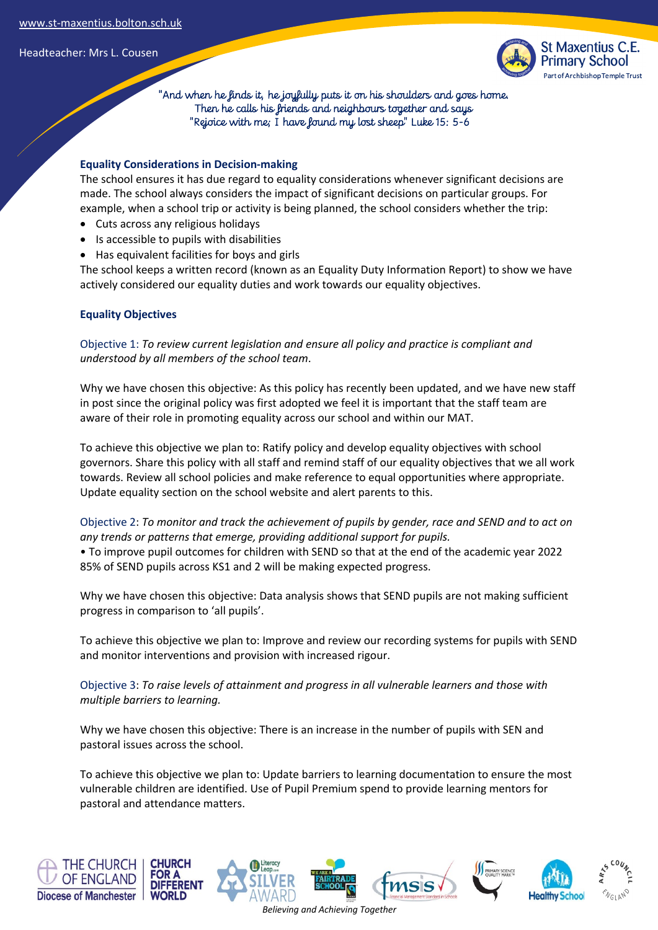

 "And when he finds it, he joyfully puts it on his shoulders and goes home. Then he calls his friends and neighbours together and says "Rejoice with me; I have found my lost sheep" Luke 15: 5-6

### **Equality Considerations in Decision-making**

The school ensures it has due regard to equality considerations whenever significant decisions are made. The school always considers the impact of significant decisions on particular groups. For example, when a school trip or activity is being planned, the school considers whether the trip:

- Cuts across any religious holidays
- Is accessible to pupils with disabilities
- Has equivalent facilities for boys and girls

The school keeps a written record (known as an Equality Duty Information Report) to show we have actively considered our equality duties and work towards our equality objectives.

### **Equality Objectives**

Objective 1: *To review current legislation and ensure all policy and practice is compliant and understood by all members of the school team*.

Why we have chosen this objective: As this policy has recently been updated, and we have new staff in post since the original policy was first adopted we feel it is important that the staff team are aware of their role in promoting equality across our school and within our MAT.

To achieve this objective we plan to: Ratify policy and develop equality objectives with school governors. Share this policy with all staff and remind staff of our equality objectives that we all work towards. Review all school policies and make reference to equal opportunities where appropriate. Update equality section on the school website and alert parents to this.

Objective 2: *To monitor and track the achievement of pupils by gender, race and SEND and to act on any trends or patterns that emerge, providing additional support for pupils.* 

• To improve pupil outcomes for children with SEND so that at the end of the academic year 2022 85% of SEND pupils across KS1 and 2 will be making expected progress.

Why we have chosen this objective: Data analysis shows that SEND pupils are not making sufficient progress in comparison to 'all pupils'.

To achieve this objective we plan to: Improve and review our recording systems for pupils with SEND and monitor interventions and provision with increased rigour.

Objective 3: *To raise levels of attainment and progress in all vulnerable learners and those with multiple barriers to learning.* 

Why we have chosen this objective: There is an increase in the number of pupils with SEN and pastoral issues across the school.

To achieve this objective we plan to: Update barriers to learning documentation to ensure the most vulnerable children are identified. Use of Pupil Premium spend to provide learning mentors for pastoral and attendance matters.



*Believing and Achieving Together*